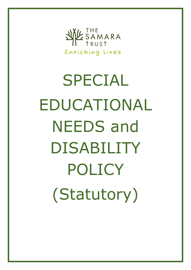

SPECIAL EDUCATIONAL NEEDS and DISABILITY POLICY (Statutory)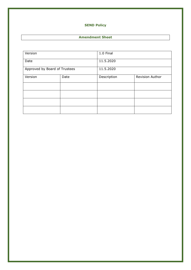# **SEND Policy**

# **Amendment Sheet**

| Version                       |      | 1.0 Final   |                 |
|-------------------------------|------|-------------|-----------------|
| Date                          |      | 11.5.2020   |                 |
| Approved by Board of Trustees |      | 11.5.2020   |                 |
| Version                       | Date | Description | Revision Author |
|                               |      |             |                 |
|                               |      |             |                 |
|                               |      |             |                 |
|                               |      |             |                 |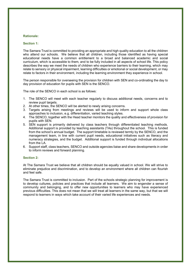## **Rationale:**

#### **Section 1:**

The Samara Trust is committed to providing an appropriate and high quality education to all the children who attend our schools. We believe that all children, including those identified as having special educational needs have a common entitlement to a broad and balanced academic and social curriculum, which is accessible to them, and to be fully included in all aspects of school life. This policy describes the way we meet the needs of children who experience barriers to their learning, which may relate to sensory or physical impairment, learning difficulties or emotional or social development, or may relate to factors in their environment, including the learning environment they experience in school.

The person responsible for overseeing the provision for children with SEN and co-ordinating the day to day provision of education for pupils with SEN is the SENCO.

The role of the SENCO in each school is as follows:

- 1. The SENCO will meet with each teacher regularly to discuss additional needs, concerns and to review pupil targets.
- 2. At other times, the SENCO will be alerted to newly arising concerns.
- 3. Targets arising from meetings and reviews will be used to inform and support whole class approaches to inclusion, e.g. differentiation, varied teaching styles.
- 4. The SENCO, together with the Head teacher monitors the quality and effectiveness of provision for pupils with SEN.
- 5. SEN support is primarily delivered by class teachers through differentiated teaching methods. Additional support is provided by teaching assistants (TAs) throughout the school. This is funded from the school's annual budget. The support timetable is reviewed termly by the SENCO, and the management team, in line with current pupil needs, educational initiatives such as literacy and numeracy strategies, and the budget. Additional support is funded through individual allocations from the LA.
- 6. Support staff, class teachers, SENCO and outside agencies liaise and share developments in order to inform reviews and forward planning.

#### **Section 2:**

At The Samara Trust we believe that all children should be equally valued in school. We will strive to eliminate prejudice and discrimination, and to develop an environment where all children can flourish and feel safe.

The Samara Trust is committed to inclusion. Part of the schools strategic planning for improvement is to develop cultures, policies and practices that include all learners. We aim to engender a sense of community and belonging, and to offer new opportunities to learners who may have experienced previous difficulties. This does not mean that we will treat all learners in the same way, but that we will respond to learners in ways which take account of their varied life experiences and needs.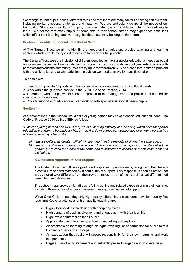We recognise that pupils learn at different rates and that there are many factors affecting achievement, including ability, emotional state, age and maturity. We are particularly aware of the needs of our Foundation Stage and Key Stage 1 pupils, for whom maturity is a crucial factor in terms of readiness to learn. We believe that many pupils, at some time in their school career, may experience difficulties which affect their learning, and we recognise that these may be long or short term.

## **Section 3: Identifying Special Educational Need**

At The Samara Trust, we aim to identify the needs as they arise and provide teaching and learning contexts which enable every child to achieve to his or her full potential.

The Samara Trust sees the inclusion of children identified as having special educational needs as equal opportunities issues, and we will also aim to model inclusion in our staffing policies, relationships with parents/carers and the community. We are trying to move from an SEN approach that locates a problem with the child to looking at what additional provision we need to make for specific children.

To do this we:-

1. Identify and provide for pupils who have special educational needs and additional needs.

2. Work within the guidance provide in the SEND Code of Practice, 2014.

3. Operate a "whole pupil, whole school" approach to the management and provision of support for special educational needs.

4. Provide support and advice for all staff working with special educational needs pupils.

## **Section 4:**

At different times in their school life, a child or young person may have a special educational need. The Code of Practice 2014 defines SEN as follows:

*"A child or young person has SEN if they have a learning difficulty or a disability which calls for special education provision to be made for him or her. A child of compulsory school age or a young person has a learning difficulty if he or she:* 

- *a) Has a significantly greater difficulty in learning than the majority of others the same age, or*
- *b) Has a disability which prevents or hinders him or her from making use of facilities of a kind generally provided for others of the same age in mainstream schools or mainstream post-16s institutions."*

## **A Graduated Approach to SEN Support**

The Code of Practice outlines a graduated response to pupils' needs, recognising that there is a continuum of need matched by a continuum of support. This response is seen as action that is **additional to** or **different from** the provision made as part of the school's usual differentiated curriculum and strategies.

The school maps provision for **all** pupils falling behind age related expectations in their learning, including those at risk of underachievement, using three 'waves' of support.

**Wave One:** Children requiring only high-quality differentiated classroom provision (quality first teaching) Key characteristics of high quality teaching are:

- Highly focussed lesson design with sharp objectives.
- High demand of pupil involvement and engagement with their learning.
- High levels of interaction for all pupils.
- Appropriate use of teacher questioning, modelling and explaining.
- An emphasis on learning through dialogue, with regular opportunities for pupils to talk both individually and in groups.
- An expectation that pupils will accept responsibility for their own learning and work independently.
- Regular use of encouragement and authentic praise to engage and motivate pupils.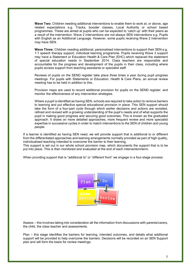**Wave Two:** Children needing additional interventions to enable them to work at, or above, age related expectations e.g. Tracks, booster classes, Local Authority or school based programmes. These are aimed at pupils who can be expected to 'catch up' with their peers as a result of the intervention. Wave 2 interventions are not always SEN interventions e.g. Pupils with English as an Additional Language. However, some pupils receiving Wave 2 intervention *may* have SEN.

**Wave Three:** Children needing additional, personalised interventions to support their SEN e.g. 1:1 speech therapy support, individual learning programme. Pupils receiving Wave 3 support may have a Statement or Education Health & Care Plan (EHC) which replaced the statement of special education needs in September 2014. Class teachers are responsible and accountable for the progress and development of the pupils in their class, including where pupils access support from teaching assistants or specialist staff.

Reviews of pupils on the SEND register take place three times a year during pupil progress meetings. For pupils with Statements or Education, Health & Care Plans, an annual review meeting has to be held in addition to this.

Provision maps are used to record additional provision for pupils on the SEND register, and monitor the effectiveness of any intervention strategies.

Where a pupil is identified as having SEN, schools are required to take action to remove barriers to learning and put effective special educational provision in place. This SEN support should take the form of a four-part cycle through which earlier decisions and actions are revisited, refined and revised with a growing understanding of the pupil's needs and of what supports the pupil in making good progress and securing good outcomes. This is known as the graduated approach. It draws on more detailed approaches, more frequent review and more specialist expertise in successive cycles in order to match interventions to the SEN of children and young people.

If a learner is identified as having SEN need, we will provide support that is additional to or different from the differentiated approaches and learning arrangements normally provided as part of high quality, individualised teaching intended to overcome the barrier to their learning.

This support is set out in our whole school provision map, which documents the support that is to be put into place. This is then monitored and evaluated at the end of each intervention/term.

When providing support that is "additional to" or "different from" we engage in a four-stage process:



Assess – this involves taking into consideration all the information from discussions with parents/carers, the child, the class teacher and assessments.

Plan – this stage identifies the barriers for learning, intended outcomes, and details what additional support will be provided to help overcome the barriers. Decisions will be recorded on an SEN Support plan and will form the basis for review meetings.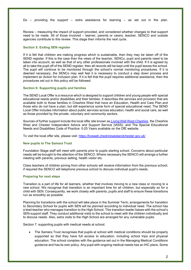Do – providing the support – extra assistance for learning – as set out in the plan.

Review – measuring the impact of support provided, and considered whether changes to that support need to be made. All of those involved – learner, parents or carers, teacher, SENCO and outside agencies contribute to this review. This stage then informs the next cycle.

#### **Section 5: Exiting SEN register**

If it is felt that children are making progress which is sustainable, then they may be taken off of the SEND register. If this is the case then the views of the teacher, SENCo, pupil and parents need to be taken into account, as well as that of any other professionals involved with the child. If it is agreed by all to take the pupil off of the SEND register, then all records will be kept until the pupil leaves the school. The pupil will continue to be monitored through the school's normal monitoring procedures. If it is deemed necessary, the SENCo may well feel it is necessary to conduct a step down process and implement an Action for Inclusion plan. If it is felt that the pupil requires additional assistance, then the procedures set out in this policy will be followed.

#### **Section 6: Supporting pupils and families**

The SEND Local Offer is a resource which is designed to support children and young people with special educational needs and/or disabilities and their families. It describes the services and provision that are available both to those families in Cheshire West that have an Education, Health and Care Plan and those who do not have a plan, but still experience some form of special educational need. The SEND Local Offer includes information about public services across education, health and social care, as well as those provided by the private, voluntary and community sectors.

Sources of further support include the local offer site known as [Living Well West Cheshire,](https://livewell.cheshirewestandchester.gov.uk/Categories/3948) the Cheshire West and Chester Independent Advice and Support Service (IASS), and The Special Educational Needs and Disabilities Code of Practice: 0-25 Years available on the DfE website.

To visit the local offer site, please visit: [https://livewell.cheshirewestandchester.gov.uk/](https://eur02.safelinks.protection.outlook.com/?url=https%3A%2F%2Flivewell.cheshirewestandchester.gov.uk%2F&data=02%7C01%7C%7Cb1f2e3de94be4f3637a308d76db3a95d%7C84df9e7fe9f640afb435aaaaaaaaaaaa%7C1%7C0%7C637098490710201483&sdata=iq2NVziDS0oN%2BS91rswjW4tnn8ob6PW1oAQeLIgexDg%3D&reserved=0)

## **New pupils to The Samara Trust**

Foundation Stage staff will meet with parents prior to pupils starting school. Concerns about particular needs will be brought to the attention of the SENCO. Where necessary the SENCO will arrange a further meeting with parents, previous setting, health visitor etc.

Class teachers of children joining from other schools will receive information from the previous school; if required the SENCO will telephone previous school to discuss individual pupil's needs.

#### **Preparing for next steps**

Transition is a part of life for all learners, whether that involves moving to a new class or moving to a new school. We recognise that transition is an important time for all children, but especially so for a child with SEN. Consequently, we work closely with parents, pupils and staff to ensure these transitions run as smoothly as possible.

Planning for transitions with the school will take place in the Summer Term; arrangements for transition to Secondary School for pupils with SEN will be planned according to individual need. The school has a lead teacher who manages transition to the High School. This transition leader liaises with the school's SEN support staff. They conduct additional visits to the school to meet with the children individually and to discuss needs. Also, extra visits to the High School are arranged for any vulnerable pupils.

Section 7: supporting pupils with medical needs at school.

• The Samara Trust recognises that pupils at school with medical conditions should be properly supported so that they have full access to education, including school trips and physical education. The school complies with the guidance set out in the Managing Medical Conditions guidance and has its own policy. Any pupil with ongoing medical needs has an IHC plans. Some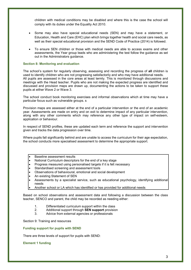children with medical conditions may be disabled and where this is the case the school will comply with its duties under the Equality Act 2010.

- Some may also have special educational needs (SEN) and may have a statement, or Education, Health and Care (EHC) plan which brings together health and social care needs, as well as their special educational provision and the SEND Code of Practice (2014) is followed.
- To ensure SEN children or those with medical needs are able to access exams and other assessments, the Year group leads who are administering the test follow the guidance as set out in the Administrators guidance.

## **Section 8: Monitoring and evaluation**

The school's system for regularly observing, assessing and recording the progress of **all** children is used to identify children who are not progressing satisfactorily and who may have additional needs. All pupils are assessed in the core areas at least termly. This is monitored through discussions and meetings with the Head teacher. Pupils who are not making the expected progress are identified and discussed and provision maps are drawn up, documenting the actions to be taken to support these pupils at either Wave 2 or Wave 3.

The school conduct book monitoring exercises and informal observations which at time may have a particular focus such as vulnerable groups. s

Provision maps are assessed either at the end of a particular intervention or the end of an academic year. Assessments are made on entry and on exit to determine impact of any particular intervention, along with any other comments which may reference any other type of impact on self-esteem, application or behaviour.

In respect of SEND profiles, these are updated each term and reference the support and intervention given and tracks the data progression over time.

Where pupils fall significantly behind and are unable to access the curriculum for their age expectation, the school conducts more specialised assessment to determine the appropriate support.

- Baseline assessment results
- National Curriculum descriptors for the end of a key stage
- Progress measured using personalised targets if it is felt necessary
- Standardised screening and assessment tools
- Observations of behavioural, emotional and social development
- An existing Statement of SEN
- Assessments by a specialist service, such as educational psychology, identifying additional needs
- Another school or LA which has identified or has provided for additional needs

Based on school observations and assessment data and following a discussion between the class teacher, SENCO and parent, the child may be recorded as needing either:

- 1. Differentiated curriculum support within the class
- 2. Additional support through **SEN support** provision
- Advice from external agencies or professionals

Section 9: Training and resources

#### **Funding support for pupils with SEND**

There are three levels of support for pupils with SEND:

**Element 1 funding**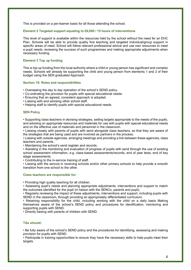This is provided on a per-learner basis for all those attending the school.

## **Element 2 Targeted support equating to £6,000 / 15 hours of interventions**

This level of support is available within the resources held by the school without the need for an EHC Plan. Schools will be able to provide quality first teaching and targeted individual/group support in specific areas of need. School will follow relevant professional advice and use own resources to meet a pupil needs, reviewing the success of such programmes and making appropriate adjustments when necessary funding.

## **Element 3 Top up funding**

This is top up funding from the local authority where a child or young person has significant and complex needs. Schools will already be supporting the child and young person from elements 1 and 2 of their budget using the SEN graduated Approach.

## **Section 10: Roles and responsibilities**

- Overseeing the day to day operation of the school's SEND policy.
- Co-ordinating the provision for pupils with special educational needs.
- Ensuring that an agreed, consistent approach is adopted.
- Liaising with and advising other school staff.
- Helping staff to identify pupils with special educational needs.

#### **SEN Policy**

• Supporting class teachers in devising strategies, setting targets appropriate to the needs of the pupils, and advising on appropriate resources and materials for use with pupils with special educational needs and on the effective use of materials and personnel in the classroom.

• Liaising closely with parents of pupils with send alongside class teachers, so that they are aware of the strategies that are being used and are involved as partners in the process.

• Liaising with outside agencies, arranging meetings and providing a link between these agencies, class teachers and parents.

• Maintaining the school's send register and records.

• Assisting in the monitoring and evaluation of progress of pupils with send through the use of existing school assessment information, e.g. class-based assessments/records, end of year tests, end of key stage assessments.

• Contributing to the in-service training of staff.

• Liaising with the sencos in receiving schools and/or other primary schools to help provide a smooth transition from one school to the other.

#### **Class teachers are responsible for:**

• Providing high quality teaching for all children.

• Assessing pupil's needs and planning appropriate adjustments, interventions and support to match the outcomes identified for the pupil (in liaison with the SENCo, parents and pupil).

• Regularly reviewing the impact of these adjustments, interventions and support, including pupils with SEND in the classroom, through providing an appropriately differentiated curriculum.

• Retaining responsibility for the child, including working with the child on a daily basis Making themselves aware of the school's SEND policy and procedures for identification, monitoring and supporting pupils with SEND.

• Directly liaising with parents of children with SEND.

# **TAs should:**

• Be fully aware of the school's SEND policy and the procedures for identifying, assessing and making provision for pupils with SEND.

• Participate in training opportunities to ensure they have the necessary skills to help pupils meet their targets.